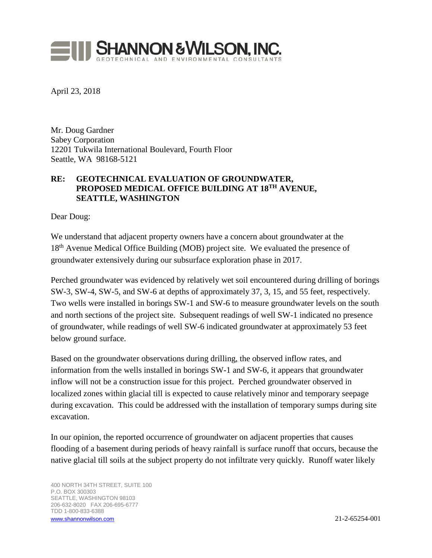

April 23, 2018

Mr. Doug Gardner Sabey Corporation 12201 Tukwila International Boulevard, Fourth Floor Seattle, WA 98168-5121

## **RE: GEOTECHNICAL EVALUATION OF GROUNDWATER, PROPOSED MEDICAL OFFICE BUILDING AT 18TH AVENUE, SEATTLE, WASHINGTON**

Dear Doug:

We understand that adjacent property owners have a concern about groundwater at the 18<sup>th</sup> Avenue Medical Office Building (MOB) project site. We evaluated the presence of groundwater extensively during our subsurface exploration phase in 2017.

Perched groundwater was evidenced by relatively wet soil encountered during drilling of borings SW-3, SW-4, SW-5, and SW-6 at depths of approximately 37, 3, 15, and 55 feet, respectively. Two wells were installed in borings SW-1 and SW-6 to measure groundwater levels on the south and north sections of the project site. Subsequent readings of well SW-1 indicated no presence of groundwater, while readings of well SW-6 indicated groundwater at approximately 53 feet below ground surface.

Based on the groundwater observations during drilling, the observed inflow rates, and information from the wells installed in borings SW-1 and SW-6, it appears that groundwater inflow will not be a construction issue for this project. Perched groundwater observed in localized zones within glacial till is expected to cause relatively minor and temporary seepage during excavation. This could be addressed with the installation of temporary sumps during site excavation.

In our opinion, the reported occurrence of groundwater on adjacent properties that causes flooding of a basement during periods of heavy rainfall is surface runoff that occurs, because the native glacial till soils at the subject property do not infiltrate very quickly. Runoff water likely

400 NORTH 34TH STREET, SUITE 100 P.O. BOX 300303 SEATTLE, WASHINGTON 98103 206-632-8020 FAX 206-695-6777 TDD 1-800-833-6388 [www.shannonwilson.com](http://www.shannonwilson.com/) 21-2-65254-001